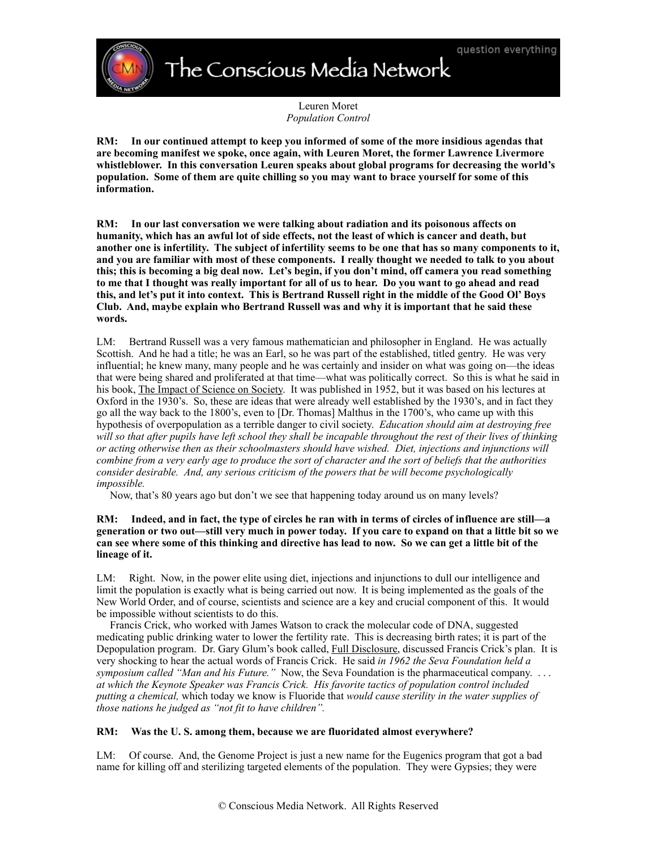The Conscious Media Network

Leuren Moret *Population Control*

**RM: In our continued attempt to keep you informed of some of the more insidious agendas that are becoming manifest we spoke, once again, with Leuren Moret, the former Lawrence Livermore whistleblower. In this conversation Leuren speaks about global programs for decreasing the world's population. Some of them are quite chilling so you may want to brace yourself for some of this information.**

**RM: In our last conversation we were talking about radiation and its poisonous affects on humanity, which has an awful lot of side effects, not the least of which is cancer and death, but another one is infertility. The subject of infertility seems to be one that has so many components to it, and you are familiar with most of these components. I really thought we needed to talk to you about this; this is becoming a big deal now. Let's begin, if you don't mind, off camera you read something to me that I thought was really important for all of us to hear. Do you want to go ahead and read this, and let's put it into context. This is Bertrand Russell right in the middle of the Good Ol' Boys Club. And, maybe explain who Bertrand Russell was and why it is important that he said these words.**

LM: Bertrand Russell was a very famous mathematician and philosopher in England. He was actually Scottish. And he had a title; he was an Earl, so he was part of the established, titled gentry. He was very influential; he knew many, many people and he was certainly and insider on what was going on—the ideas that were being shared and proliferated at that time—what was politically correct. So this is what he said in his book, The Impact of Science on Society. It was published in 1952, but it was based on his lectures at Oxford in the 1930's. So, these are ideas that were already well established by the 1930's, and in fact they go all the way back to the 1800's, even to [Dr. Thomas] Malthus in the 1700's, who came up with this hypothesis of overpopulation as a terrible danger to civil society. *Education should aim at destroying free will so that after pupils have left school they shall be incapable throughout the rest of their lives of thinking or acting otherwise then as their schoolmasters should have wished. Diet, injections and injunctions will combine from a very early age to produce the sort of character and the sort of beliefs that the authorities consider desirable. And, any serious criticism of the powers that be will become psychologically impossible.*

Now, that's 80 years ago but don't we see that happening today around us on many levels?

## **RM: Indeed, and in fact, the type of circles he ran with in terms of circles of influence are still—a generation or two out—still very much in power today. If you care to expand on that a little bit so we can see where some of this thinking and directive has lead to now. So we can get a little bit of the lineage of it.**

LM: Right. Now, in the power elite using diet, injections and injunctions to dull our intelligence and limit the population is exactly what is being carried out now. It is being implemented as the goals of the New World Order, and of course, scientists and science are a key and crucial component of this. It would be impossible without scientists to do this.

 Francis Crick, who worked with James Watson to crack the molecular code of DNA, suggested medicating public drinking water to lower the fertility rate. This is decreasing birth rates; it is part of the Depopulation program. Dr. Gary Glum's book called, Full Disclosure, discussed Francis Crick's plan. It is very shocking to hear the actual words of Francis Crick. He said *in 1962 the Seva Foundation held a symposium called "Man and his Future."* Now, the Seva Foundation is the pharmaceutical company. . . . *at which the Keynote Speaker was Francis Crick. His favorite tactics of population control included putting a chemical,* which today we know is Fluoride that *would cause sterility in the water supplies of those nations he judged as "not fit to have children".*

# **RM: Was the U. S. among them, because we are fluoridated almost everywhere?**

LM: Of course. And, the Genome Project is just a new name for the Eugenics program that got a bad name for killing off and sterilizing targeted elements of the population. They were Gypsies; they were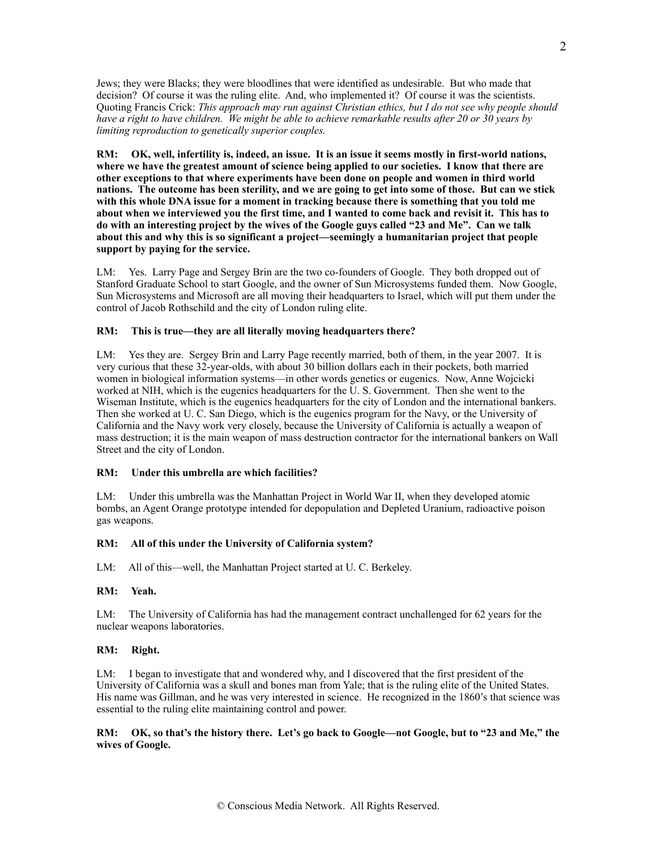Jews; they were Blacks; they were bloodlines that were identified as undesirable. But who made that decision? Of course it was the ruling elite. And, who implemented it? Of course it was the scientists. Quoting Francis Crick: *This approach may run against Christian ethics, but I do not see why people should have a right to have children. We might be able to achieve remarkable results after 20 or 30 years by limiting reproduction to genetically superior couples.*

**RM: OK, well, infertility is, indeed, an issue. It is an issue it seems mostly in first-world nations, where we have the greatest amount of science being applied to our societies. I know that there are other exceptions to that where experiments have been done on people and women in third world nations. The outcome has been sterility, and we are going to get into some of those. But can we stick with this whole DNA issue for a moment in tracking because there is something that you told me about when we interviewed you the first time, and I wanted to come back and revisit it. This has to do with an interesting project by the wives of the Google guys called "23 and Me". Can we talk about this and why this is so significant a project—seemingly a humanitarian project that people support by paying for the service.**

LM: Yes. Larry Page and Sergey Brin are the two co-founders of Google. They both dropped out of Stanford Graduate School to start Google, and the owner of Sun Microsystems funded them. Now Google, Sun Microsystems and Microsoft are all moving their headquarters to Israel, which will put them under the control of Jacob Rothschild and the city of London ruling elite.

#### **RM: This is true—they are all literally moving headquarters there?**

LM: Yes they are. Sergey Brin and Larry Page recently married, both of them, in the year 2007. It is very curious that these 32-year-olds, with about 30 billion dollars each in their pockets, both married women in biological information systems—in other words genetics or eugenics. Now, Anne Wojcicki worked at NIH, which is the eugenics headquarters for the U. S. Government. Then she went to the Wiseman Institute, which is the eugenics headquarters for the city of London and the international bankers. Then she worked at U. C. San Diego, which is the eugenics program for the Navy, or the University of California and the Navy work very closely, because the University of California is actually a weapon of mass destruction; it is the main weapon of mass destruction contractor for the international bankers on Wall Street and the city of London.

#### **RM: Under this umbrella are which facilities?**

LM: Under this umbrella was the Manhattan Project in World War II, when they developed atomic bombs, an Agent Orange prototype intended for depopulation and Depleted Uranium, radioactive poison gas weapons.

#### **RM: All of this under the University of California system?**

LM: All of this—well, the Manhattan Project started at U. C. Berkeley.

### **RM: Yeah.**

LM: The University of California has had the management contract unchallenged for 62 years for the nuclear weapons laboratories.

# **RM: Right.**

LM: I began to investigate that and wondered why, and I discovered that the first president of the University of California was a skull and bones man from Yale; that is the ruling elite of the United States. His name was Gillman, and he was very interested in science. He recognized in the 1860's that science was essential to the ruling elite maintaining control and power.

## **RM: OK, so that's the history there. Let's go back to Google—not Google, but to "23 and Me," the wives of Google.**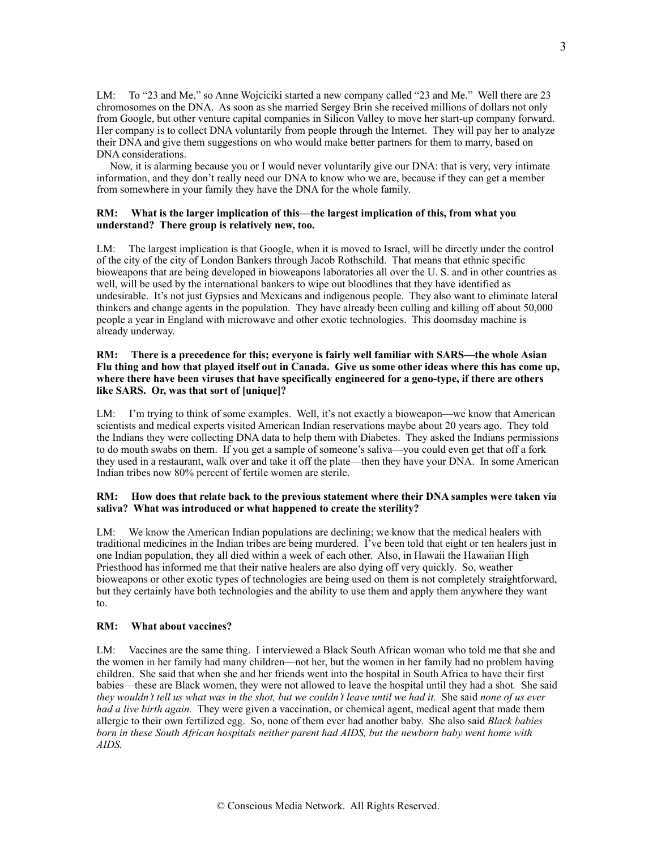LM: To "23 and Me," so Anne Wojciciki started a new company called "23 and Me." Well there are 23 chromosomes on the DNA. As soon as she married Sergey Brin she received millions of dollars not only from Google, but other venture capital companies in Silicon Valley to move her start-up company forward. Her company is to collect DNA voluntarily from people through the Internet. They will pay her to analyze their DNA and give them suggestions on who would make better partners for them to marry, based on DNA considerations.

 Now, it is alarming because you or I would never voluntarily give our DNA: that is very, very intimate information, and they don't really need our DNA to know who we are, because if they can get a member from somewhere in your family they have the DNA for the whole family.

## **RM: What is the larger implication of this—the largest implication of this, from what you understand? There group is relatively new, too.**

LM: The largest implication is that Google, when it is moved to Israel, will be directly under the control of the city of the city of London Bankers through Jacob Rothschild. That means that ethnic specific bioweapons that are being developed in bioweapons laboratories all over the U. S. and in other countries as well, will be used by the international bankers to wipe out bloodlines that they have identified as undesirable. It's not just Gypsies and Mexicans and indigenous people. They also want to eliminate lateral thinkers and change agents in the population. They have already been culling and killing off about 50,000 people a year in England with microwave and other exotic technologies. This doomsday machine is already underway.

## **RM: There is a precedence for this; everyone is fairly well familiar with SARS—the whole Asian Flu thing and how that played itself out in Canada. Give us some other ideas where this has come up, where there have been viruses that have specifically engineered for a geno-type, if there are others like SARS. Or, was that sort of [unique]?**

LM: I'm trying to think of some examples. Well, it's not exactly a bioweapon—we know that American scientists and medical experts visited American Indian reservations maybe about 20 years ago. They told the Indians they were collecting DNA data to help them with Diabetes. They asked the Indians permissions to do mouth swabs on them. If you get a sample of someone's saliva—you could even get that off a fork they used in a restaurant, walk over and take it off the plate—then they have your DNA. In some American Indian tribes now 80% percent of fertile women are sterile.

## **RM: How does that relate back to the previous statement where their DNA samples were taken via saliva? What was introduced or what happened to create the sterility?**

LM: We know the American Indian populations are declining; we know that the medical healers with traditional medicines in the Indian tribes are being murdered. I've been told that eight or ten healers just in one Indian population, they all died within a week of each other. Also, in Hawaii the Hawaiian High Priesthood has informed me that their native healers are also dying off very quickly. So, weather bioweapons or other exotic types of technologies are being used on them is not completely straightforward, but they certainly have both technologies and the ability to use them and apply them anywhere they want to.

# **RM: What about vaccines?**

LM: Vaccines are the same thing. I interviewed a Black South African woman who told me that she and the women in her family had many children—not her, but the women in her family had no problem having children. She said that when she and her friends went into the hospital in South Africa to have their first babies—these are Black women, they were not allowed to leave the hospital until they had a shot*.* She said *they wouldn't tell us what was in the shot, but we couldn't leave until we had it.* She said *none of us ever had a live birth again.* They were given a vaccination, or chemical agent, medical agent that made them allergic to their own fertilized egg. So, none of them ever had another baby. She also said *Black babies born in these South African hospitals neither parent had AIDS, but the newborn baby went home with AIDS.*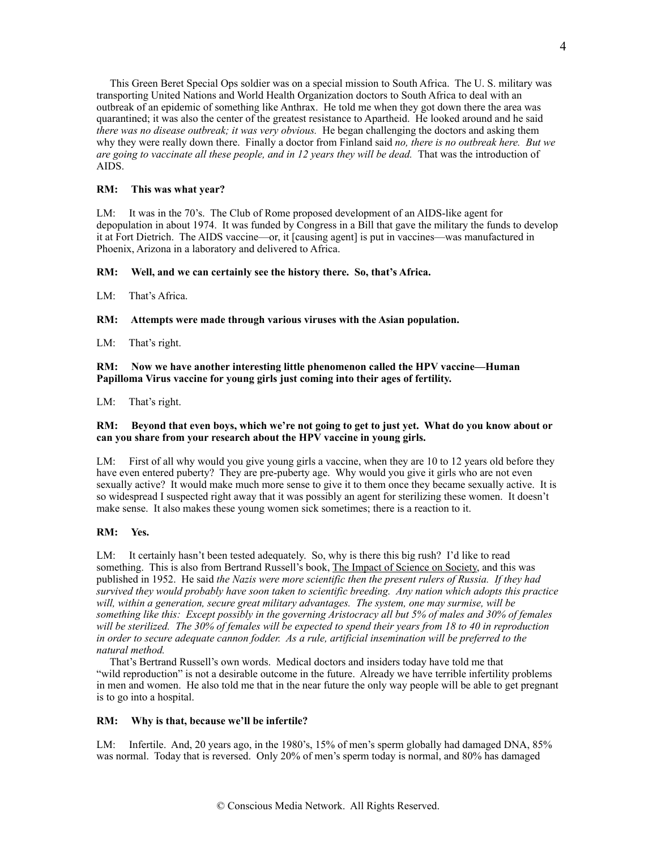This Green Beret Special Ops soldier was on a special mission to South Africa. The U. S. military was transporting United Nations and World Health Organization doctors to South Africa to deal with an outbreak of an epidemic of something like Anthrax. He told me when they got down there the area was quarantined; it was also the center of the greatest resistance to Apartheid. He looked around and he said *there was no disease outbreak; it was very obvious.* He began challenging the doctors and asking them why they were really down there. Finally a doctor from Finland said *no, there is no outbreak here. But we are going to vaccinate all these people, and in 12 years they will be dead.* That was the introduction of AIDS.

### **RM: This was what year?**

LM: It was in the 70's. The Club of Rome proposed development of an AIDS-like agent for depopulation in about 1974. It was funded by Congress in a Bill that gave the military the funds to develop it at Fort Dietrich. The AIDS vaccine—or, it [causing agent] is put in vaccines—was manufactured in Phoenix, Arizona in a laboratory and delivered to Africa.

#### **RM: Well, and we can certainly see the history there. So, that's Africa.**

LM: That's Africa.

**RM: Attempts were made through various viruses with the Asian population.**

LM: That's right.

**RM: Now we have another interesting little phenomenon called the HPV vaccine—Human Papilloma Virus vaccine for young girls just coming into their ages of fertility.**

LM: That's right.

## **RM: Beyond that even boys, which we're not going to get to just yet. What do you know about or can you share from your research about the HPV vaccine in young girls.**

LM: First of all why would you give young girls a vaccine, when they are 10 to 12 years old before they have even entered puberty? They are pre-puberty age. Why would you give it girls who are not even sexually active? It would make much more sense to give it to them once they became sexually active. It is so widespread I suspected right away that it was possibly an agent for sterilizing these women. It doesn't make sense. It also makes these young women sick sometimes; there is a reaction to it.

## **RM: Yes.**

LM: It certainly hasn't been tested adequately. So, why is there this big rush? I'd like to read something. This is also from Bertrand Russell's book, The Impact of Science on Society, and this was published in 1952. He said *the Nazis were more scientific then the present rulers of Russia. If they had survived they would probably have soon taken to scientific breeding. Any nation which adopts this practice will, within a generation, secure great military advantages. The system, one may surmise, will be something like this: Except possibly in the governing Aristocracy all but 5% of males and 30% of females will be sterilized. The 30% of females will be expected to spend their years from 18 to 40 in reproduction*  in order to secure adequate cannon fodder. As a rule, artificial insemination will be preferred to the *natural method.*

 That's Bertrand Russell's own words. Medical doctors and insiders today have told me that "wild reproduction" is not a desirable outcome in the future. Already we have terrible infertility problems in men and women. He also told me that in the near future the only way people will be able to get pregnant is to go into a hospital.

## **RM: Why is that, because we'll be infertile?**

LM: Infertile. And, 20 years ago, in the 1980's, 15% of men's sperm globally had damaged DNA, 85% was normal. Today that is reversed. Only 20% of men's sperm today is normal, and 80% has damaged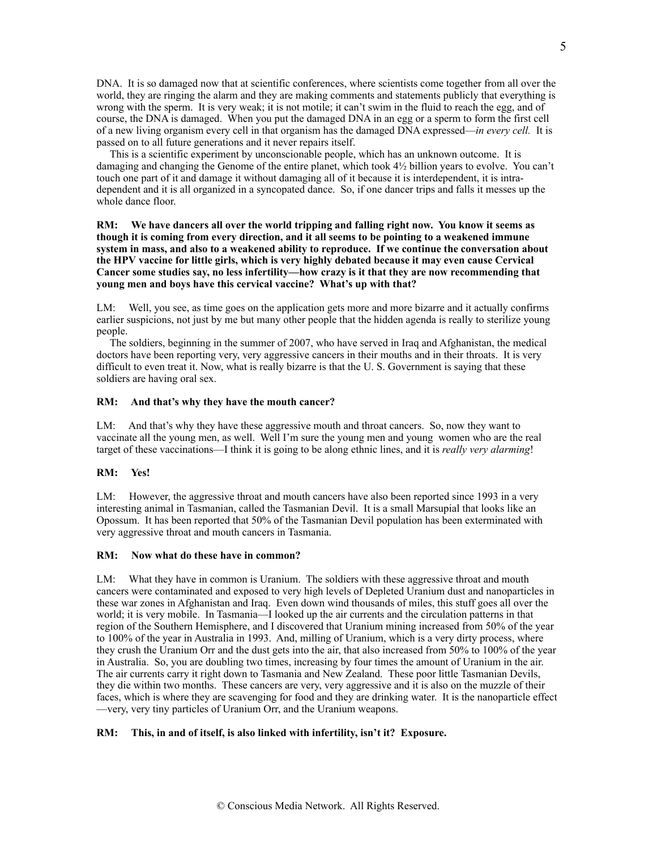DNA. It is so damaged now that at scientific conferences, where scientists come together from all over the world, they are ringing the alarm and they are making comments and statements publicly that everything is wrong with the sperm. It is very weak; it is not motile; it can't swim in the fluid to reach the egg, and of course, the DNA is damaged. When you put the damaged DNA in an egg or a sperm to form the first cell of a new living organism every cell in that organism has the damaged DNA expressed—*in every cell.* It is passed on to all future generations and it never repairs itself.

 This is a scientific experiment by unconscionable people, which has an unknown outcome. It is damaging and changing the Genome of the entire planet, which took 4½ billion years to evolve. You can't touch one part of it and damage it without damaging all of it because it is interdependent, it is intradependent and it is all organized in a syncopated dance. So, if one dancer trips and falls it messes up the whole dance floor.

## **RM: We have dancers all over the world tripping and falling right now. You know it seems as though it is coming from every direction, and it all seems to be pointing to a weakened immune system in mass, and also to a weakened ability to reproduce. If we continue the conversation about the HPV vaccine for little girls, which is very highly debated because it may even cause Cervical Cancer some studies say, no less infertility—how crazy is it that they are now recommending that young men and boys have this cervical vaccine? What's up with that?**

LM: Well, you see, as time goes on the application gets more and more bizarre and it actually confirms earlier suspicions, not just by me but many other people that the hidden agenda is really to sterilize young people.

 The soldiers, beginning in the summer of 2007, who have served in Iraq and Afghanistan, the medical doctors have been reporting very, very aggressive cancers in their mouths and in their throats. It is very difficult to even treat it. Now, what is really bizarre is that the U.S. Government is saying that these soldiers are having oral sex.

### **RM: And that's why they have the mouth cancer?**

LM: And that's why they have these aggressive mouth and throat cancers. So, now they want to vaccinate all the young men, as well. Well I'm sure the young men and young women who are the real target of these vaccinations—I think it is going to be along ethnic lines, and it is *really very alarming*!

### **RM: Yes!**

LM: However, the aggressive throat and mouth cancers have also been reported since 1993 in a very interesting animal in Tasmanian, called the Tasmanian Devil. It is a small Marsupial that looks like an Opossum. It has been reported that 50% of the Tasmanian Devil population has been exterminated with very aggressive throat and mouth cancers in Tasmania.

#### **RM: Now what do these have in common?**

LM: What they have in common is Uranium. The soldiers with these aggressive throat and mouth cancers were contaminated and exposed to very high levels of Depleted Uranium dust and nanoparticles in these war zones in Afghanistan and Iraq. Even down wind thousands of miles, this stuff goes all over the world; it is very mobile. In Tasmania—I looked up the air currents and the circulation patterns in that region of the Southern Hemisphere, and I discovered that Uranium mining increased from 50% of the year to 100% of the year in Australia in 1993. And, milling of Uranium, which is a very dirty process, where they crush the Uranium Orr and the dust gets into the air, that also increased from 50% to 100% of the year in Australia. So, you are doubling two times, increasing by four times the amount of Uranium in the air. The air currents carry it right down to Tasmania and New Zealand. These poor little Tasmanian Devils, they die within two months. These cancers are very, very aggressive and it is also on the muzzle of their faces, which is where they are scavenging for food and they are drinking water. It is the nanoparticle effect —very, very tiny particles of Uranium Orr, and the Uranium weapons.

### **RM: This, in and of itself, is also linked with infertility, isn't it? Exposure.**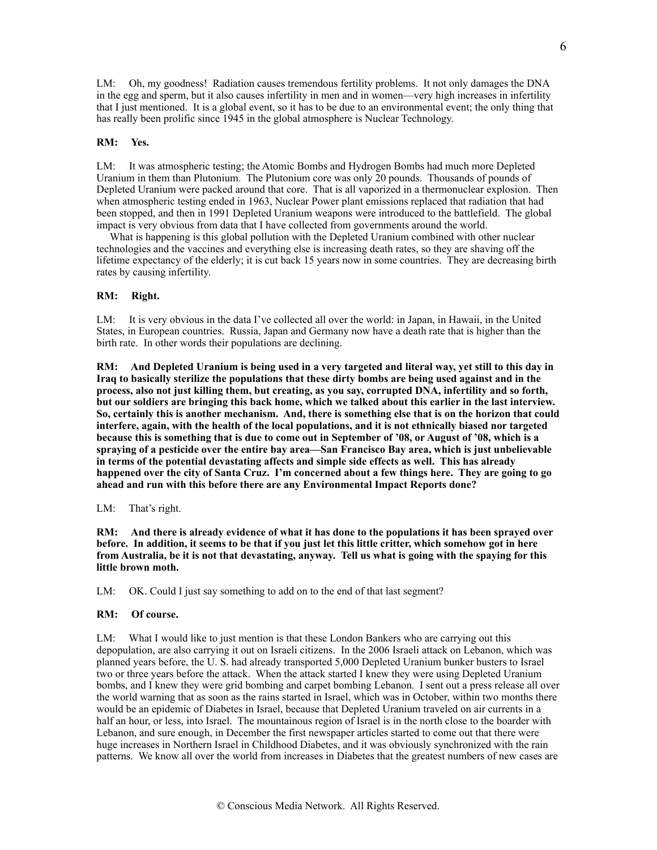LM: Oh, my goodness! Radiation causes tremendous fertility problems. It not only damages the DNA in the egg and sperm, but it also causes infertility in men and in women—very high increases in infertility that I just mentioned. It is a global event, so it has to be due to an environmental event; the only thing that has really been prolific since 1945 in the global atmosphere is Nuclear Technology.

## **RM: Yes.**

LM: It was atmospheric testing; the Atomic Bombs and Hydrogen Bombs had much more Depleted Uranium in them than Plutonium. The Plutonium core was only 20 pounds. Thousands of pounds of Depleted Uranium were packed around that core. That is all vaporized in a thermonuclear explosion. Then when atmospheric testing ended in 1963, Nuclear Power plant emissions replaced that radiation that had been stopped, and then in 1991 Depleted Uranium weapons were introduced to the battlefield. The global impact is very obvious from data that I have collected from governments around the world.

 What is happening is this global pollution with the Depleted Uranium combined with other nuclear technologies and the vaccines and everything else is increasing death rates, so they are shaving off the lifetime expectancy of the elderly; it is cut back 15 years now in some countries. They are decreasing birth rates by causing infertility.

### **RM: Right.**

LM: It is very obvious in the data I've collected all over the world: in Japan, in Hawaii, in the United States, in European countries. Russia, Japan and Germany now have a death rate that is higher than the birth rate. In other words their populations are declining.

**RM: And Depleted Uranium is being used in a very targeted and literal way, yet still to this day in Iraq to basically sterilize the populations that these dirty bombs are being used against and in the process, also not just killing them, but creating, as you say, corrupted DNA, infertility and so forth, but our soldiers are bringing this back home, which we talked about this earlier in the last interview. So, certainly this is another mechanism. And, there is something else that is on the horizon that could interfere, again, with the health of the local populations, and it is not ethnically biased nor targeted because this is something that is due to come out in September of '08, or August of '08, which is a spraying of a pesticide over the entire bay area—San Francisco Bay area, which is just unbelievable in terms of the potential devastating affects and simple side effects as well. This has already happened over the city of Santa Cruz. I'm concerned about a few things here. They are going to go ahead and run with this before there are any Environmental Impact Reports done?**

### LM: That's right.

**RM: And there is already evidence of what it has done to the populations it has been sprayed over before. In addition, it seems to be that if you just let this little critter, which somehow got in here from Australia, be it is not that devastating, anyway. Tell us what is going with the spaying for this little brown moth.**

LM: OK. Could I just say something to add on to the end of that last segment?

#### **RM: Of course.**

LM: What I would like to just mention is that these London Bankers who are carrying out this depopulation, are also carrying it out on Israeli citizens. In the 2006 Israeli attack on Lebanon, which was planned years before, the U. S. had already transported 5,000 Depleted Uranium bunker busters to Israel two or three years before the attack. When the attack started I knew they were using Depleted Uranium bombs, and I knew they were grid bombing and carpet bombing Lebanon. I sent out a press release all over the world warning that as soon as the rains started in Israel, which was in October, within two months there would be an epidemic of Diabetes in Israel, because that Depleted Uranium traveled on air currents in a half an hour, or less, into Israel. The mountainous region of Israel is in the north close to the boarder with Lebanon, and sure enough, in December the first newspaper articles started to come out that there were huge increases in Northern Israel in Childhood Diabetes, and it was obviously synchronized with the rain patterns. We know all over the world from increases in Diabetes that the greatest numbers of new cases are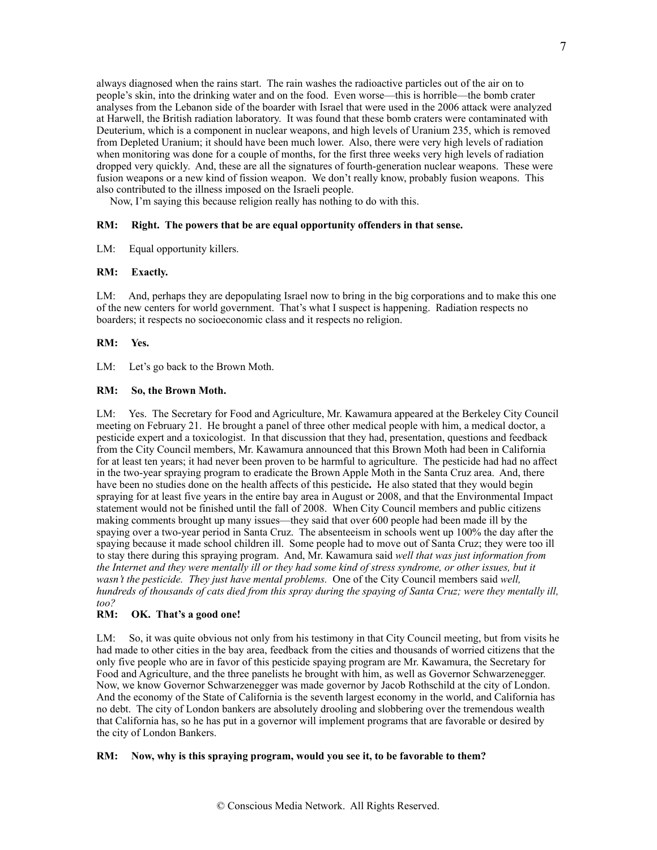always diagnosed when the rains start. The rain washes the radioactive particles out of the air on to people's skin, into the drinking water and on the food. Even worse—this is horrible—the bomb crater analyses from the Lebanon side of the boarder with Israel that were used in the 2006 attack were analyzed at Harwell, the British radiation laboratory. It was found that these bomb craters were contaminated with Deuterium, which is a component in nuclear weapons, and high levels of Uranium 235, which is removed from Depleted Uranium; it should have been much lower. Also, there were very high levels of radiation when monitoring was done for a couple of months, for the first three weeks very high levels of radiation dropped very quickly. And, these are all the signatures of fourth-generation nuclear weapons. These were fusion weapons or a new kind of fission weapon. We don't really know, probably fusion weapons. This also contributed to the illness imposed on the Israeli people.

Now, I'm saying this because religion really has nothing to do with this.

## **RM: Right. The powers that be are equal opportunity offenders in that sense.**

LM: Equal opportunity killers.

### **RM: Exactly.**

LM: And, perhaps they are depopulating Israel now to bring in the big corporations and to make this one of the new centers for world government. That's what I suspect is happening. Radiation respects no boarders; it respects no socioeconomic class and it respects no religion.

## **RM: Yes.**

LM: Let's go back to the Brown Moth.

## **RM: So, the Brown Moth.**

LM: Yes. The Secretary for Food and Agriculture, Mr. Kawamura appeared at the Berkeley City Council meeting on February 21. He brought a panel of three other medical people with him, a medical doctor, a pesticide expert and a toxicologist. In that discussion that they had, presentation, questions and feedback from the City Council members, Mr. Kawamura announced that this Brown Moth had been in California for at least ten years; it had never been proven to be harmful to agriculture. The pesticide had had no affect in the two-year spraying program to eradicate the Brown Apple Moth in the Santa Cruz area. And, there have been no studies done on the health affects of this pesticide**.** He also stated that they would begin spraying for at least five years in the entire bay area in August or 2008, and that the Environmental Impact statement would not be finished until the fall of 2008. When City Council members and public citizens making comments brought up many issues—they said that over 600 people had been made ill by the spaying over a two-year period in Santa Cruz. The absenteeism in schools went up 100% the day after the spaying because it made school children ill. Some people had to move out of Santa Cruz; they were too ill to stay there during this spraying program. And, Mr. Kawamura said *well that was just information from the Internet and they were mentally ill or they had some kind of stress syndrome, or other issues, but it wasn't the pesticide. They just have mental problems.* One of the City Council members said *well, hundreds of thousands of cats died from this spray during the spaying of Santa Cruz; were they mentally ill, too?*

### **RM: OK. That's a good one!**

LM: So, it was quite obvious not only from his testimony in that City Council meeting, but from visits he had made to other cities in the bay area, feedback from the cities and thousands of worried citizens that the only five people who are in favor of this pesticide spaying program are Mr. Kawamura, the Secretary for Food and Agriculture, and the three panelists he brought with him, as well as Governor Schwarzenegger. Now, we know Governor Schwarzenegger was made governor by Jacob Rothschild at the city of London. And the economy of the State of California is the seventh largest economy in the world, and California has no debt. The city of London bankers are absolutely drooling and slobbering over the tremendous wealth that California has, so he has put in a governor will implement programs that are favorable or desired by the city of London Bankers.

### **RM: Now, why is this spraying program, would you see it, to be favorable to them?**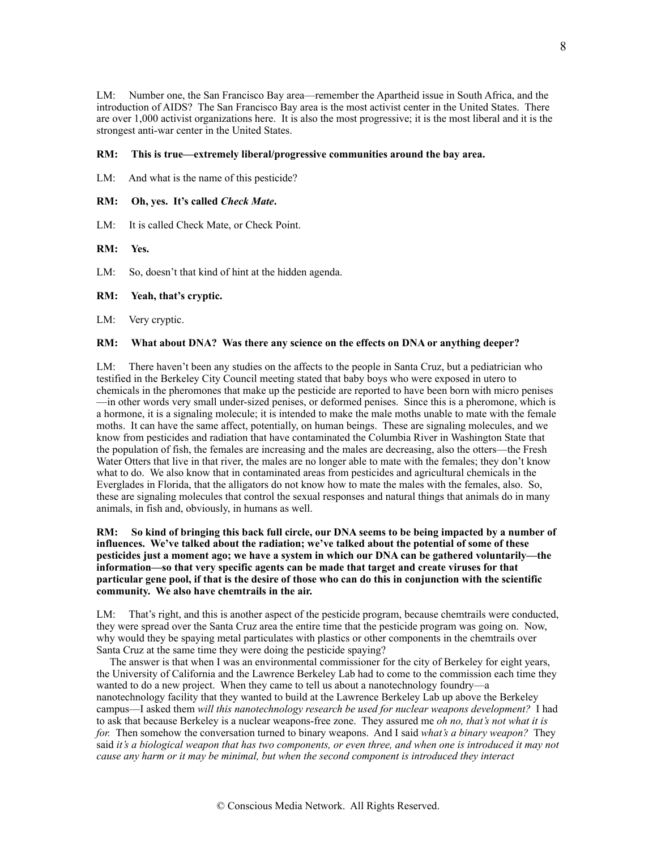LM: Number one, the San Francisco Bay area—remember the Apartheid issue in South Africa, and the introduction of AIDS? The San Francisco Bay area is the most activist center in the United States. There are over 1,000 activist organizations here. It is also the most progressive; it is the most liberal and it is the strongest anti-war center in the United States.

## **RM: This is true—extremely liberal/progressive communities around the bay area.**

LM: And what is the name of this pesticide?

## **RM: Oh, yes. It's called** *Check Mate***.**

LM: It is called Check Mate, or Check Point.

### **RM: Yes.**

LM: So, doesn't that kind of hint at the hidden agenda.

#### **RM: Yeah, that's cryptic.**

LM: Very cryptic.

## **RM: What about DNA? Was there any science on the effects on DNA or anything deeper?**

LM: There haven't been any studies on the affects to the people in Santa Cruz, but a pediatrician who testified in the Berkeley City Council meeting stated that baby boys who were exposed in utero to chemicals in the pheromones that make up the pesticide are reported to have been born with micro penises —in other words very small under-sized penises, or deformed penises. Since this is a pheromone, which is a hormone, it is a signaling molecule; it is intended to make the male moths unable to mate with the female moths. It can have the same affect, potentially, on human beings. These are signaling molecules, and we know from pesticides and radiation that have contaminated the Columbia River in Washington State that the population of fish, the females are increasing and the males are decreasing, also the otters—the Fresh Water Otters that live in that river, the males are no longer able to mate with the females; they don't know what to do. We also know that in contaminated areas from pesticides and agricultural chemicals in the Everglades in Florida, that the alligators do not know how to mate the males with the females, also. So, these are signaling molecules that control the sexual responses and natural things that animals do in many animals, in fish and, obviously, in humans as well.

## **RM: So kind of bringing this back full circle, our DNA seems to be being impacted by a number of influences. We've talked about the radiation; we've talked about the potential of some of these pesticides just a moment ago; we have a system in which our DNA can be gathered voluntarily—the information—so that very specific agents can be made that target and create viruses for that particular gene pool, if that is the desire of those who can do this in conjunction with the scientific community. We also have chemtrails in the air.**

LM: That's right, and this is another aspect of the pesticide program, because chemtrails were conducted, they were spread over the Santa Cruz area the entire time that the pesticide program was going on. Now, why would they be spaying metal particulates with plastics or other components in the chemtrails over Santa Cruz at the same time they were doing the pesticide spaying?

 The answer is that when I was an environmental commissioner for the city of Berkeley for eight years, the University of California and the Lawrence Berkeley Lab had to come to the commission each time they wanted to do a new project. When they came to tell us about a nanotechnology foundry—a nanotechnology facility that they wanted to build at the Lawrence Berkeley Lab up above the Berkeley campus—I asked them *will this nanotechnology research be used for nuclear weapons development?* I had to ask that because Berkeley is a nuclear weapons-free zone. They assured me *oh no, that's not what it is for.* Then somehow the conversation turned to binary weapons. And I said *what's a binary weapon?* They said *it's a biological weapon that has two components, or even three, and when one is introduced it may not cause any harm or it may be minimal, but when the second component is introduced they interact*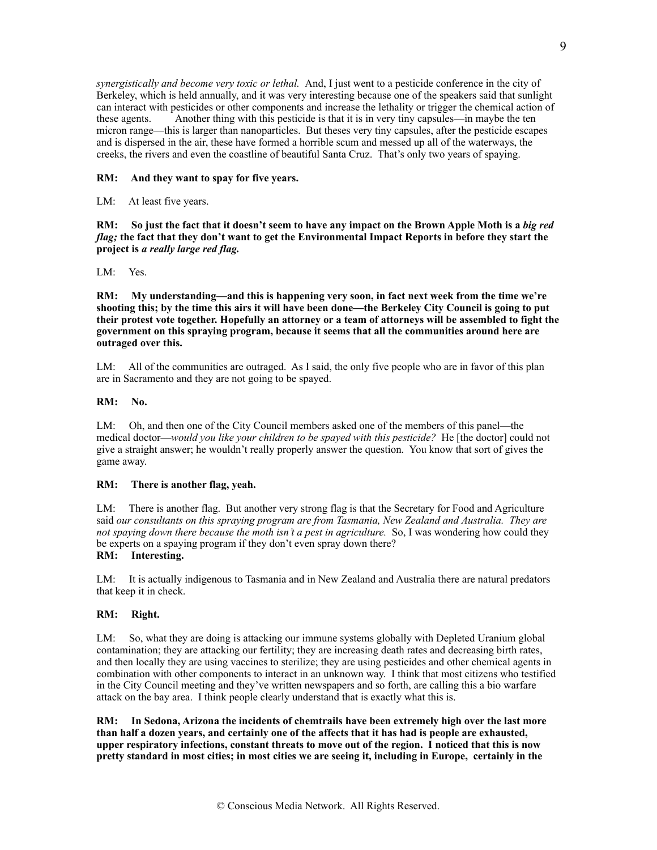*synergistically and become very toxic or lethal.* And, I just went to a pesticide conference in the city of Berkeley, which is held annually, and it was very interesting because one of the speakers said that sunlight can interact with pesticides or other components and increase the lethality or trigger the chemical action of these agents. Another thing with this pesticide is that it is in very tiny capsules—in maybe the ten micron range—this is larger than nanoparticles. But theses very tiny capsules, after the pesticide escapes and is dispersed in the air, these have formed a horrible scum and messed up all of the waterways, the creeks, the rivers and even the coastline of beautiful Santa Cruz. That's only two years of spaying.

## **RM: And they want to spay for five years.**

LM: At least five years.

**RM:** So just the fact that it doesn't seem to have any impact on the Brown Apple Moth is a *big red flag;* **the fact that they don't want to get the Environmental Impact Reports in before they start the project is** *a really large red flag.*

### LM: Yes.

**RM: My understanding—and this is happening very soon, in fact next week from the time we're shooting this; by the time this airs it will have been done—the Berkeley City Council is going to put their protest vote together. Hopefully an attorney or a team of attorneys will be assembled to fight the government on this spraying program, because it seems that all the communities around here are outraged over this.**

LM: All of the communities are outraged. As I said, the only five people who are in favor of this plan are in Sacramento and they are not going to be spayed.

## **RM: No.**

LM: Oh, and then one of the City Council members asked one of the members of this panel—the medical doctor—*would you like your children to be spayed with this pesticide?* He [the doctor] could not give a straight answer; he wouldn't really properly answer the question. You know that sort of gives the game away.

### **RM: There is another flag, yeah.**

LM: There is another flag. But another very strong flag is that the Secretary for Food and Agriculture said *our consultants on this spraying program are from Tasmania, New Zealand and Australia. They are not spaying down there because the moth isn't a pest in agriculture.* So, I was wondering how could they be experts on a spaying program if they don't even spray down there?

# **RM: Interesting.**

LM: It is actually indigenous to Tasmania and in New Zealand and Australia there are natural predators that keep it in check.

# **RM: Right.**

LM: So, what they are doing is attacking our immune systems globally with Depleted Uranium global contamination; they are attacking our fertility; they are increasing death rates and decreasing birth rates, and then locally they are using vaccines to sterilize; they are using pesticides and other chemical agents in combination with other components to interact in an unknown way. I think that most citizens who testified in the City Council meeting and they've written newspapers and so forth, are calling this a bio warfare attack on the bay area. I think people clearly understand that is exactly what this is.

**RM: In Sedona, Arizona the incidents of chemtrails have been extremely high over the last more than half a dozen years, and certainly one of the affects that it has had is people are exhausted, upper respiratory infections, constant threats to move out of the region. I noticed that this is now pretty standard in most cities; in most cities we are seeing it, including in Europe, certainly in the**